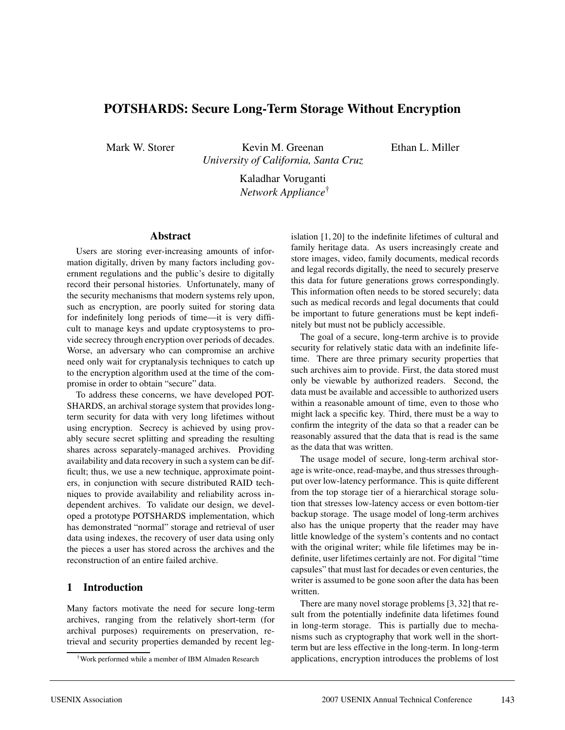# **POTSHARDS: Secure Long-Term Storage Without Encryption**

Mark W. Storer Kevin M. Greenan *University of California, Santa Cruz* Ethan L. Miller

Kaladhar Voruganti *Network Appliance*†

#### **Abstract**

Users are storing ever-increasing amounts of information digitally, driven by many factors including government regulations and the public's desire to digitally record their personal histories. Unfortunately, many of the security mechanisms that modern systems rely upon, such as encryption, are poorly suited for storing data for indefinitely long periods of time—it is very difficult to manage keys and update cryptosystems to provide secrecy through encryption over periods of decades. Worse, an adversary who can compromise an archive need only wait for cryptanalysis techniques to catch up to the encryption algorithm used at the time of the compromise in order to obtain "secure" data.

To address these concerns, we have developed POT-SHARDS, an archival storage system that provides longterm security for data with very long lifetimes without using encryption. Secrecy is achieved by using provably secure secret splitting and spreading the resulting shares across separately-managed archives. Providing availability and data recovery in such a system can be difficult; thus, we use a new technique, approximate pointers, in conjunction with secure distributed RAID techniques to provide availability and reliability across independent archives. To validate our design, we developed a prototype POTSHARDS implementation, which has demonstrated "normal" storage and retrieval of user data using indexes, the recovery of user data using only the pieces a user has stored across the archives and the reconstruction of an entire failed archive.

# **1 Introduction**

Many factors motivate the need for secure long-term archives, ranging from the relatively short-term (for archival purposes) requirements on preservation, retrieval and security properties demanded by recent leg-

islation [1, 20] to the indefinite lifetimes of cultural and family heritage data. As users increasingly create and store images, video, family documents, medical records and legal records digitally, the need to securely preserve this data for future generations grows correspondingly. This information often needs to be stored securely; data such as medical records and legal documents that could be important to future generations must be kept indefinitely but must not be publicly accessible.

The goal of a secure, long-term archive is to provide security for relatively static data with an indefinite lifetime. There are three primary security properties that such archives aim to provide. First, the data stored must only be viewable by authorized readers. Second, the data must be available and accessible to authorized users within a reasonable amount of time, even to those who might lack a specific key. Third, there must be a way to confirm the integrity of the data so that a reader can be reasonably assured that the data that is read is the same as the data that was written.

The usage model of secure, long-term archival storage is write-once, read-maybe, and thus stresses throughput over low-latency performance. This is quite different from the top storage tier of a hierarchical storage solution that stresses low-latency access or even bottom-tier backup storage. The usage model of long-term archives also has the unique property that the reader may have little knowledge of the system's contents and no contact with the original writer; while file lifetimes may be indefinite, user lifetimes certainly are not. For digital "time capsules" that must last for decades or even centuries, the writer is assumed to be gone soon after the data has been written.

There are many novel storage problems [3, 32] that result from the potentially indefinite data lifetimes found in long-term storage. This is partially due to mechanisms such as cryptography that work well in the shortterm but are less effective in the long-term. In long-term applications, encryption introduces the problems of lost

<sup>†</sup>Work performed while a member of IBM Almaden Research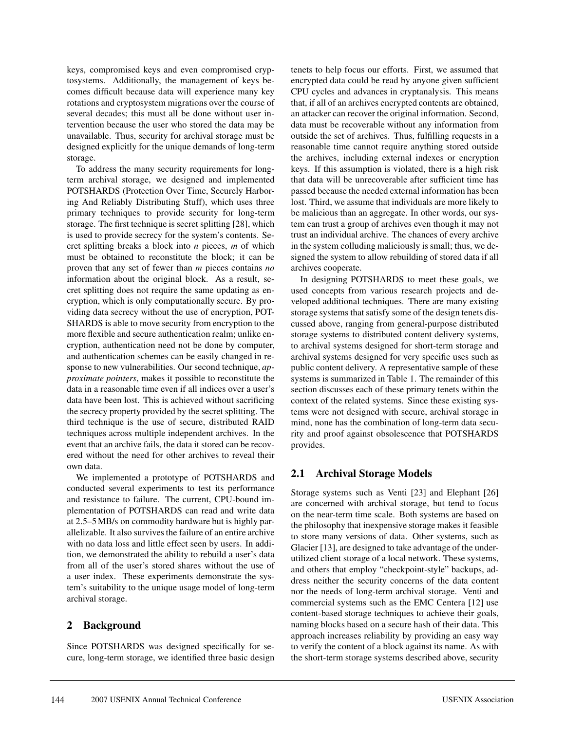keys, compromised keys and even compromised cryptosystems. Additionally, the management of keys becomes difficult because data will experience many key rotations and cryptosystem migrations over the course of several decades; this must all be done without user intervention because the user who stored the data may be unavailable. Thus, security for archival storage must be designed explicitly for the unique demands of long-term storage.

To address the many security requirements for longterm archival storage, we designed and implemented POTSHARDS (Protection Over Time, Securely Harboring And Reliably Distributing Stuff), which uses three primary techniques to provide security for long-term storage. The first technique is secret splitting [28], which is used to provide secrecy for the system's contents. Secret splitting breaks a block into *n* pieces, *m* of which must be obtained to reconstitute the block; it can be proven that any set of fewer than *m* pieces contains *no* information about the original block. As a result, secret splitting does not require the same updating as encryption, which is only computationally secure. By providing data secrecy without the use of encryption, POT-SHARDS is able to move security from encryption to the more flexible and secure authentication realm; unlike encryption, authentication need not be done by computer, and authentication schemes can be easily changed in response to new vulnerabilities. Our second technique, *approximate pointers*, makes it possible to reconstitute the data in a reasonable time even if all indices over a user's data have been lost. This is achieved without sacrificing the secrecy property provided by the secret splitting. The third technique is the use of secure, distributed RAID techniques across multiple independent archives. In the event that an archive fails, the data it stored can be recovered without the need for other archives to reveal their own data.

We implemented a prototype of POTSHARDS and conducted several experiments to test its performance and resistance to failure. The current, CPU-bound implementation of POTSHARDS can read and write data at 2.5–5 MB/s on commodity hardware but is highly parallelizable. It also survives the failure of an entire archive with no data loss and little effect seen by users. In addition, we demonstrated the ability to rebuild a user's data from all of the user's stored shares without the use of a user index. These experiments demonstrate the system's suitability to the unique usage model of long-term archival storage.

# **2 Background**

Since POTSHARDS was designed specifically for secure, long-term storage, we identified three basic design tenets to help focus our efforts. First, we assumed that encrypted data could be read by anyone given sufficient CPU cycles and advances in cryptanalysis. This means that, if all of an archives encrypted contents are obtained, an attacker can recover the original information. Second, data must be recoverable without any information from outside the set of archives. Thus, fulfilling requests in a reasonable time cannot require anything stored outside the archives, including external indexes or encryption keys. If this assumption is violated, there is a high risk that data will be unrecoverable after sufficient time has passed because the needed external information has been lost. Third, we assume that individuals are more likely to be malicious than an aggregate. In other words, our system can trust a group of archives even though it may not trust an individual archive. The chances of every archive in the system colluding maliciously is small; thus, we designed the system to allow rebuilding of stored data if all archives cooperate.

In designing POTSHARDS to meet these goals, we used concepts from various research projects and developed additional techniques. There are many existing storage systems that satisfy some of the design tenets discussed above, ranging from general-purpose distributed storage systems to distributed content delivery systems, to archival systems designed for short-term storage and archival systems designed for very specific uses such as public content delivery. A representative sample of these systems is summarized in Table 1. The remainder of this section discusses each of these primary tenets within the context of the related systems. Since these existing systems were not designed with secure, archival storage in mind, none has the combination of long-term data security and proof against obsolescence that POTSHARDS provides.

# **2.1 Archival Storage Models**

Storage systems such as Venti [23] and Elephant [26] are concerned with archival storage, but tend to focus on the near-term time scale. Both systems are based on the philosophy that inexpensive storage makes it feasible to store many versions of data. Other systems, such as Glacier [13], are designed to take advantage of the underutilized client storage of a local network. These systems, and others that employ "checkpoint-style" backups, address neither the security concerns of the data content nor the needs of long-term archival storage. Venti and commercial systems such as the EMC Centera [12] use content-based storage techniques to achieve their goals, naming blocks based on a secure hash of their data. This approach increases reliability by providing an easy way to verify the content of a block against its name. As with the short-term storage systems described above, security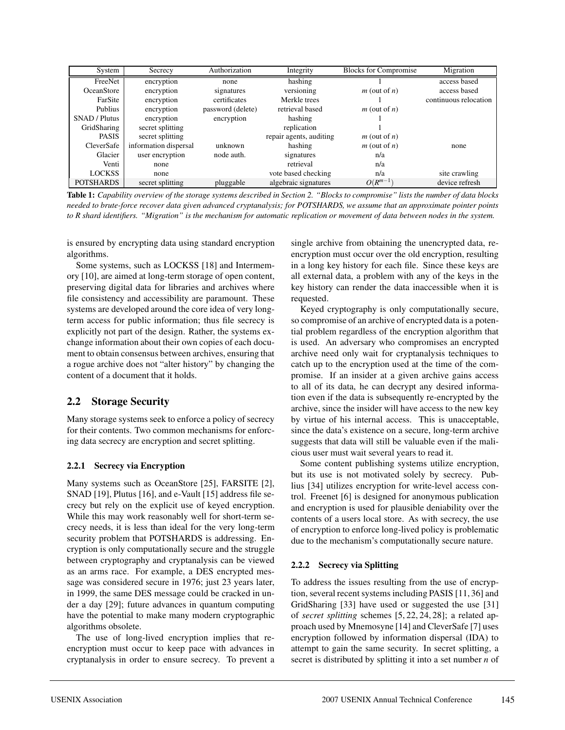| System               | Secrecy               | Authorization     | Integrity               | <b>Blocks for Compromise</b> | Migration             |
|----------------------|-----------------------|-------------------|-------------------------|------------------------------|-----------------------|
| FreeNet              | encryption            | none              | hashing                 |                              | access based          |
| <b>OceanStore</b>    | encryption            | signatures        | versioning              | $m$ (out of $n$ )            | access based          |
| FarSite              | encryption            | certificates      | Merkle trees            |                              | continuous relocation |
| Publius              | encryption            | password (delete) | retrieval based         | $m$ (out of $n$ )            |                       |
| <b>SNAD</b> / Plutus | encryption            | encryption        | hashing                 |                              |                       |
| GridSharing          | secret splitting      |                   | replication             |                              |                       |
| <b>PASIS</b>         | secret splitting      |                   | repair agents, auditing | $m$ (out of $n$ )            |                       |
| CleverSafe           | information dispersal | unknown           | hashing                 | $m$ (out of $n$ )            | none                  |
| Glacier              | user encryption       | node auth.        | signatures              | n/a                          |                       |
| Venti                | none                  |                   | retrieval               | n/a                          |                       |
| <b>LOCKSS</b>        | none                  |                   | vote based checking     | n/a                          | site crawling         |
| <b>POTSHARDS</b>     | secret splitting      | pluggable         | algebraic signatures    | $O(R^{m-1})$                 | device refresh        |

**Table 1:** *Capability overview of the storage systems described in Section 2. "Blocks to compromise" lists the number of data blocks needed to brute-force recover data given advanced cryptanalysis; for POTSHARDS, we assume that an approximate pointer points to R shard identifiers. "Migration" is the mechanism for automatic replication or movement of data between nodes in the system.*

is ensured by encrypting data using standard encryption algorithms.

Some systems, such as LOCKSS [18] and Intermemory [10], are aimed at long-term storage of open content, preserving digital data for libraries and archives where file consistency and accessibility are paramount. These systems are developed around the core idea of very longterm access for public information; thus file secrecy is explicitly not part of the design. Rather, the systems exchange information about their own copies of each document to obtain consensus between archives, ensuring that a rogue archive does not "alter history" by changing the content of a document that it holds.

# **2.2 Storage Security**

Many storage systems seek to enforce a policy of secrecy for their contents. Two common mechanisms for enforcing data secrecy are encryption and secret splitting.

### **2.2.1 Secrecy via Encryption**

Many systems such as OceanStore [25], FARSITE [2], SNAD [19], Plutus [16], and e-Vault [15] address file secrecy but rely on the explicit use of keyed encryption. While this may work reasonably well for short-term secrecy needs, it is less than ideal for the very long-term security problem that POTSHARDS is addressing. Encryption is only computationally secure and the struggle between cryptography and cryptanalysis can be viewed as an arms race. For example, a DES encrypted message was considered secure in 1976; just 23 years later, in 1999, the same DES message could be cracked in under a day [29]; future advances in quantum computing have the potential to make many modern cryptographic algorithms obsolete.

The use of long-lived encryption implies that reencryption must occur to keep pace with advances in cryptanalysis in order to ensure secrecy. To prevent a

single archive from obtaining the unencrypted data, reencryption must occur over the old encryption, resulting in a long key history for each file. Since these keys are all external data, a problem with any of the keys in the key history can render the data inaccessible when it is requested.

Keyed cryptography is only computationally secure, so compromise of an archive of encrypted data is a potential problem regardless of the encryption algorithm that is used. An adversary who compromises an encrypted archive need only wait for cryptanalysis techniques to catch up to the encryption used at the time of the compromise. If an insider at a given archive gains access to all of its data, he can decrypt any desired information even if the data is subsequently re-encrypted by the archive, since the insider will have access to the new key by virtue of his internal access. This is unacceptable, since the data's existence on a secure, long-term archive suggests that data will still be valuable even if the malicious user must wait several years to read it.

Some content publishing systems utilize encryption, but its use is not motivated solely by secrecy. Publius [34] utilizes encryption for write-level access control. Freenet [6] is designed for anonymous publication and encryption is used for plausible deniability over the contents of a users local store. As with secrecy, the use of encryption to enforce long-lived policy is problematic due to the mechanism's computationally secure nature.

# **2.2.2 Secrecy via Splitting**

To address the issues resulting from the use of encryption, several recent systems including PASIS [11, 36] and GridSharing [33] have used or suggested the use [31] of *secret splitting* schemes [5, 22, 24, 28]; a related approach used by Mnemosyne [14] and CleverSafe [7] uses encryption followed by information dispersal (IDA) to attempt to gain the same security. In secret splitting, a secret is distributed by splitting it into a set number *n* of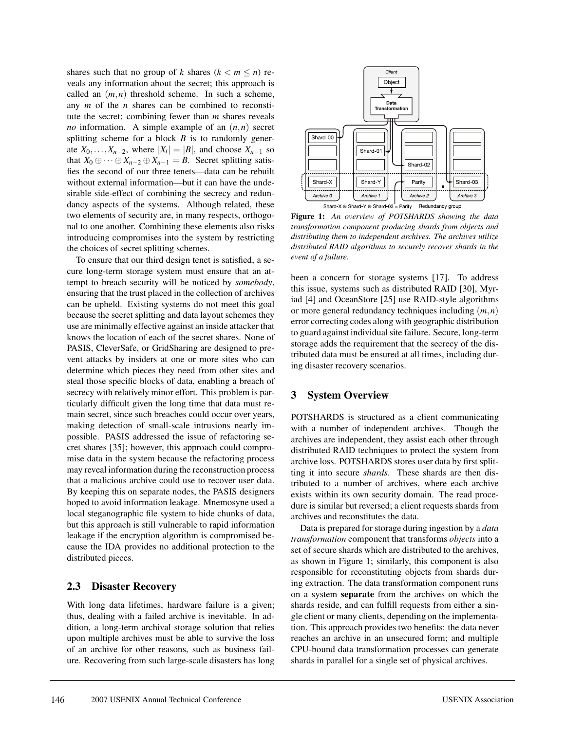shares such that no group of *k* shares  $(k < m < n)$  reveals any information about the secret; this approach is called an (*m*,*n*) threshold scheme. In such a scheme, any *m* of the *n* shares can be combined to reconstitute the secret; combining fewer than *m* shares reveals *no* information. A simple example of an (*n*,*n*) secret splitting scheme for a block *B* is to randomly generate  $X_0, \ldots, X_{n-2}$ , where  $|X_i| = |B|$ , and choose  $X_{n-1}$  so that  $X_0 \oplus \cdots \oplus X_{n-2} \oplus X_{n-1} = B$ . Secret splitting satisfies the second of our three tenets—data can be rebuilt without external information—but it can have the undesirable side-effect of combining the secrecy and redundancy aspects of the systems. Although related, these two elements of security are, in many respects, orthogonal to one another. Combining these elements also risks introducing compromises into the system by restricting the choices of secret splitting schemes.

To ensure that our third design tenet is satisfied, a secure long-term storage system must ensure that an attempt to breach security will be noticed by *somebody*, ensuring that the trust placed in the collection of archives can be upheld. Existing systems do not meet this goal because the secret splitting and data layout schemes they use are minimally effective against an inside attacker that knows the location of each of the secret shares. None of PASIS, CleverSafe, or GridSharing are designed to prevent attacks by insiders at one or more sites who can determine which pieces they need from other sites and steal those specific blocks of data, enabling a breach of secrecy with relatively minor effort. This problem is particularly difficult given the long time that data must remain secret, since such breaches could occur over years, making detection of small-scale intrusions nearly impossible. PASIS addressed the issue of refactoring secret shares [35]; however, this approach could compromise data in the system because the refactoring process may reveal information during the reconstruction process that a malicious archive could use to recover user data. By keeping this on separate nodes, the PASIS designers hoped to avoid information leakage. Mnemosyne used a local steganographic file system to hide chunks of data, but this approach is still vulnerable to rapid information leakage if the encryption algorithm is compromised because the IDA provides no additional protection to the distributed pieces.

### **2.3 Disaster Recovery**

With long data lifetimes, hardware failure is a given; thus, dealing with a failed archive is inevitable. In addition, a long-term archival storage solution that relies upon multiple archives must be able to survive the loss of an archive for other reasons, such as business failure. Recovering from such large-scale disasters has long



**Figure 1:** *An overview of POTSHARDS showing the data transformation component producing shards from objects and distributing them to independent archives. The archives utilize distributed RAID algorithms to securely recover shards in the event of a failure.*

been a concern for storage systems [17]. To address this issue, systems such as distributed RAID [30], Myriad [4] and OceanStore [25] use RAID-style algorithms or more general redundancy techniques including (*m*,*n*) error correcting codes along with geographic distribution to guard against individual site failure. Secure, long-term storage adds the requirement that the secrecy of the distributed data must be ensured at all times, including during disaster recovery scenarios.

# **3 System Overview**

POTSHARDS is structured as a client communicating with a number of independent archives. Though the archives are independent, they assist each other through distributed RAID techniques to protect the system from archive loss. POTSHARDS stores user data by first splitting it into secure *shards*. These shards are then distributed to a number of archives, where each archive exists within its own security domain. The read procedure is similar but reversed; a client requests shards from archives and reconstitutes the data.

Data is prepared for storage during ingestion by a *data transformation* component that transforms *objects* into a set of secure shards which are distributed to the archives, as shown in Figure 1; similarly, this component is also responsible for reconstituting objects from shards during extraction. The data transformation component runs on a system **separate** from the archives on which the shards reside, and can fulfill requests from either a single client or many clients, depending on the implementation. This approach provides two benefits: the data never reaches an archive in an unsecured form; and multiple CPU-bound data transformation processes can generate shards in parallel for a single set of physical archives.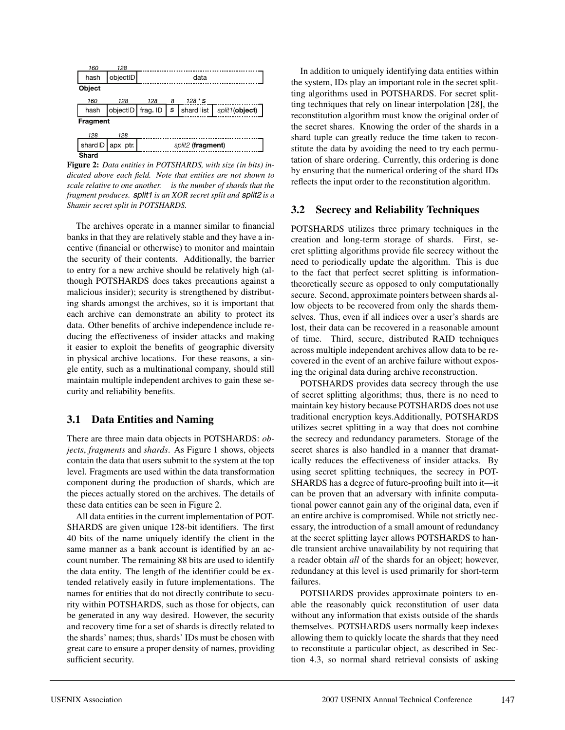

**Figure 2:** *Data entities in POTSHARDS, with size (in bits) indicated above each field. Note that entities are not shown to scale relative to one another. is the number of shards that the fragment produces.* split1 *is an XOR secret split and* split2 *is a Shamir secret split in POTSHARDS.*

The archives operate in a manner similar to financial banks in that they are relatively stable and they have a incentive (financial or otherwise) to monitor and maintain the security of their contents. Additionally, the barrier to entry for a new archive should be relatively high (although POTSHARDS does takes precautions against a malicious insider); security is strengthened by distributing shards amongst the archives, so it is important that each archive can demonstrate an ability to protect its data. Other benefits of archive independence include reducing the effectiveness of insider attacks and making it easier to exploit the benefits of geographic diversity in physical archive locations. For these reasons, a single entity, such as a multinational company, should still maintain multiple independent archives to gain these security and reliability benefits.

### **3.1 Data Entities and Naming**

There are three main data objects in POTSHARDS: *objects*, *fragments* and *shards*. As Figure 1 shows, objects contain the data that users submit to the system at the top level. Fragments are used within the data transformation component during the production of shards, which are the pieces actually stored on the archives. The details of these data entities can be seen in Figure 2.

All data entities in the current implementation of POT-SHARDS are given unique 128-bit identifiers. The first 40 bits of the name uniquely identify the client in the same manner as a bank account is identified by an account number. The remaining 88 bits are used to identify the data entity. The length of the identifier could be extended relatively easily in future implementations. The names for entities that do not directly contribute to security within POTSHARDS, such as those for objects, can be generated in any way desired. However, the security and recovery time for a set of shards is directly related to the shards' names; thus, shards' IDs must be chosen with great care to ensure a proper density of names, providing sufficient security.

In addition to uniquely identifying data entities within the system, IDs play an important role in the secret splitting algorithms used in POTSHARDS. For secret splitting techniques that rely on linear interpolation [28], the reconstitution algorithm must know the original order of the secret shares. Knowing the order of the shards in a shard tuple can greatly reduce the time taken to reconstitute the data by avoiding the need to try each permutation of share ordering. Currently, this ordering is done by ensuring that the numerical ordering of the shard IDs reflects the input order to the reconstitution algorithm.

## **3.2 Secrecy and Reliability Techniques**

POTSHARDS utilizes three primary techniques in the creation and long-term storage of shards. First, secret splitting algorithms provide file secrecy without the need to periodically update the algorithm. This is due to the fact that perfect secret splitting is informationtheoretically secure as opposed to only computationally secure. Second, approximate pointers between shards allow objects to be recovered from only the shards themselves. Thus, even if all indices over a user's shards are lost, their data can be recovered in a reasonable amount of time. Third, secure, distributed RAID techniques across multiple independent archives allow data to be recovered in the event of an archive failure without exposing the original data during archive reconstruction.

POTSHARDS provides data secrecy through the use of secret splitting algorithms; thus, there is no need to maintain key history because POTSHARDS does not use traditional encryption keys.Additionally, POTSHARDS utilizes secret splitting in a way that does not combine the secrecy and redundancy parameters. Storage of the secret shares is also handled in a manner that dramatically reduces the effectiveness of insider attacks. By using secret splitting techniques, the secrecy in POT-SHARDS has a degree of future-proofing built into it—it can be proven that an adversary with infinite computational power cannot gain any of the original data, even if an entire archive is compromised. While not strictly necessary, the introduction of a small amount of redundancy at the secret splitting layer allows POTSHARDS to handle transient archive unavailability by not requiring that a reader obtain *all* of the shards for an object; however, redundancy at this level is used primarily for short-term failures.

POTSHARDS provides approximate pointers to enable the reasonably quick reconstitution of user data without any information that exists outside of the shards themselves. POTSHARDS users normally keep indexes allowing them to quickly locate the shards that they need to reconstitute a particular object, as described in Section 4.3, so normal shard retrieval consists of asking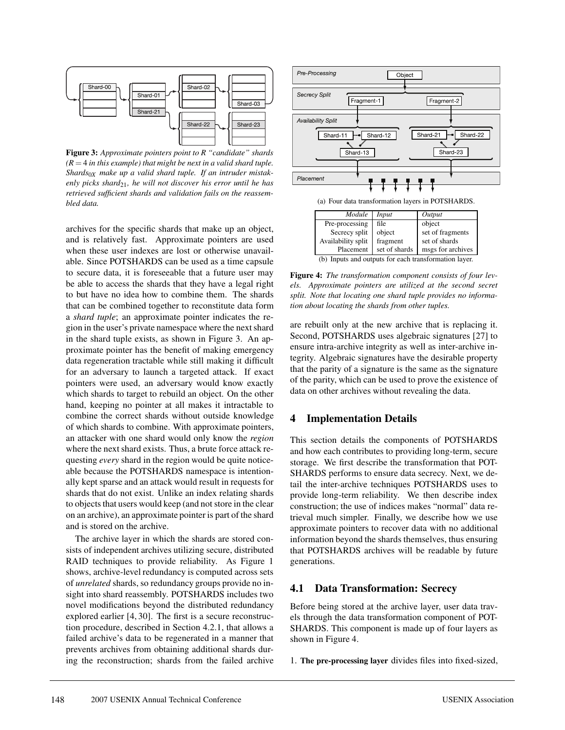

**Figure 3:** *Approximate pointers point to R "candidate" shards*  $(R = 4$  *in this example) that might be next in a valid shard tuple. Shards*0*<sup>X</sup> make up a valid shard tuple. If an intruder mistakenly picks shard*21*, he will not discover his error until he has retrieved sufficient shards and validation fails on the reassembled data.*

archives for the specific shards that make up an object, and is relatively fast. Approximate pointers are used when these user indexes are lost or otherwise unavailable. Since POTSHARDS can be used as a time capsule to secure data, it is foreseeable that a future user may be able to access the shards that they have a legal right to but have no idea how to combine them. The shards that can be combined together to reconstitute data form a *shard tuple*; an approximate pointer indicates the region in the user's private namespace where the next shard in the shard tuple exists, as shown in Figure 3. An approximate pointer has the benefit of making emergency data regeneration tractable while still making it difficult for an adversary to launch a targeted attack. If exact pointers were used, an adversary would know exactly which shards to target to rebuild an object. On the other hand, keeping no pointer at all makes it intractable to combine the correct shards without outside knowledge of which shards to combine. With approximate pointers, an attacker with one shard would only know the *region* where the next shard exists. Thus, a brute force attack requesting *every* shard in the region would be quite noticeable because the POTSHARDS namespace is intentionally kept sparse and an attack would result in requests for shards that do not exist. Unlike an index relating shards to objects that users would keep (and not store in the clear on an archive), an approximate pointer is part of the shard and is stored on the archive.

The archive layer in which the shards are stored consists of independent archives utilizing secure, distributed RAID techniques to provide reliability. As Figure 1 shows, archive-level redundancy is computed across sets of *unrelated* shards, so redundancy groups provide no insight into shard reassembly. POTSHARDS includes two novel modifications beyond the distributed redundancy explored earlier [4, 30]. The first is a secure reconstruction procedure, described in Section 4.2.1, that allows a failed archive's data to be regenerated in a manner that prevents archives from obtaining additional shards during the reconstruction; shards from the failed archive



(a) Four data transformation layers in POTSHARDS.

| Module                                                | Input         | Output            |  |  |  |
|-------------------------------------------------------|---------------|-------------------|--|--|--|
| Pre-processing                                        | file          | object            |  |  |  |
| Secrecy split                                         | object        | set of fragments  |  |  |  |
| Availability split                                    | fragment      | set of shards     |  |  |  |
| Placement                                             | set of shards | msgs for archives |  |  |  |
| (b) Inputs and outputs for each transformation layer. |               |                   |  |  |  |

**Figure 4:** *The transformation component consists of four levels. Approximate pointers are utilized at the second secret split. Note that locating one shard tuple provides no information about locating the shards from other tuples.*

are rebuilt only at the new archive that is replacing it. Second, POTSHARDS uses algebraic signatures [27] to ensure intra-archive integrity as well as inter-archive integrity. Algebraic signatures have the desirable property that the parity of a signature is the same as the signature of the parity, which can be used to prove the existence of data on other archives without revealing the data.

# **4 Implementation Details**

This section details the components of POTSHARDS and how each contributes to providing long-term, secure storage. We first describe the transformation that POT-SHARDS performs to ensure data secrecy. Next, we detail the inter-archive techniques POTSHARDS uses to provide long-term reliability. We then describe index construction; the use of indices makes "normal" data retrieval much simpler. Finally, we describe how we use approximate pointers to recover data with no additional information beyond the shards themselves, thus ensuring that POTSHARDS archives will be readable by future generations.

# **4.1 Data Transformation: Secrecy**

Before being stored at the archive layer, user data travels through the data transformation component of POT-SHARDS. This component is made up of four layers as shown in Figure 4.

1. **The pre-processing layer** divides files into fixed-sized,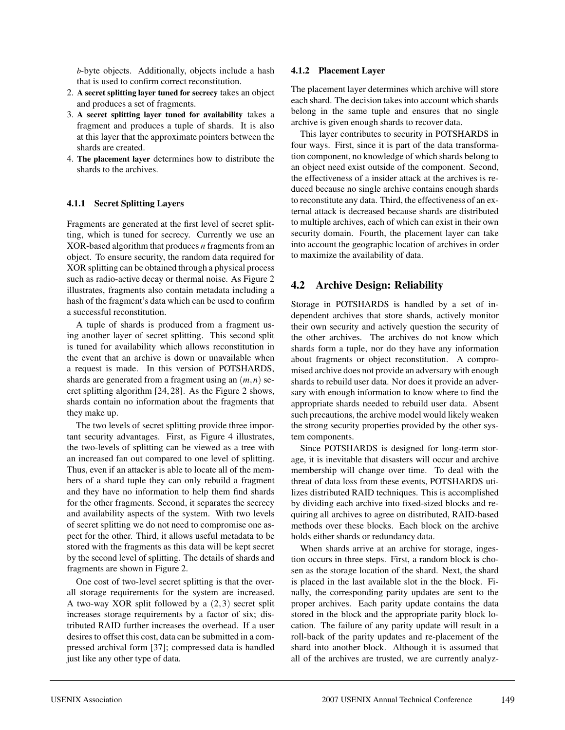*b*-byte objects. Additionally, objects include a hash that is used to confirm correct reconstitution.

- 2. **A secret splitting layer tuned for secrecy** takes an object and produces a set of fragments.
- 3. **A secret splitting layer tuned for availability** takes a fragment and produces a tuple of shards. It is also at this layer that the approximate pointers between the shards are created.
- 4. **The placement layer** determines how to distribute the shards to the archives.

### **4.1.1 Secret Splitting Layers**

Fragments are generated at the first level of secret splitting, which is tuned for secrecy. Currently we use an XOR-based algorithm that produces *n* fragments from an object. To ensure security, the random data required for XOR splitting can be obtained through a physical process such as radio-active decay or thermal noise. As Figure 2 illustrates, fragments also contain metadata including a hash of the fragment's data which can be used to confirm a successful reconstitution.

A tuple of shards is produced from a fragment using another layer of secret splitting. This second split is tuned for availability which allows reconstitution in the event that an archive is down or unavailable when a request is made. In this version of POTSHARDS, shards are generated from a fragment using an (*m*,*n*) secret splitting algorithm [24, 28]. As the Figure 2 shows, shards contain no information about the fragments that they make up.

The two levels of secret splitting provide three important security advantages. First, as Figure 4 illustrates, the two-levels of splitting can be viewed as a tree with an increased fan out compared to one level of splitting. Thus, even if an attacker is able to locate all of the members of a shard tuple they can only rebuild a fragment and they have no information to help them find shards for the other fragments. Second, it separates the secrecy and availability aspects of the system. With two levels of secret splitting we do not need to compromise one aspect for the other. Third, it allows useful metadata to be stored with the fragments as this data will be kept secret by the second level of splitting. The details of shards and fragments are shown in Figure 2.

One cost of two-level secret splitting is that the overall storage requirements for the system are increased. A two-way XOR split followed by a  $(2,3)$  secret split increases storage requirements by a factor of six; distributed RAID further increases the overhead. If a user desires to offset this cost, data can be submitted in a compressed archival form [37]; compressed data is handled just like any other type of data.

#### **4.1.2 Placement Layer**

The placement layer determines which archive will store each shard. The decision takes into account which shards belong in the same tuple and ensures that no single archive is given enough shards to recover data.

This layer contributes to security in POTSHARDS in four ways. First, since it is part of the data transformation component, no knowledge of which shards belong to an object need exist outside of the component. Second, the effectiveness of a insider attack at the archives is reduced because no single archive contains enough shards to reconstitute any data. Third, the effectiveness of an external attack is decreased because shards are distributed to multiple archives, each of which can exist in their own security domain. Fourth, the placement layer can take into account the geographic location of archives in order to maximize the availability of data.

# **4.2 Archive Design: Reliability**

Storage in POTSHARDS is handled by a set of independent archives that store shards, actively monitor their own security and actively question the security of the other archives. The archives do not know which shards form a tuple, nor do they have any information about fragments or object reconstitution. A compromised archive does not provide an adversary with enough shards to rebuild user data. Nor does it provide an adversary with enough information to know where to find the appropriate shards needed to rebuild user data. Absent such precautions, the archive model would likely weaken the strong security properties provided by the other system components.

Since POTSHARDS is designed for long-term storage, it is inevitable that disasters will occur and archive membership will change over time. To deal with the threat of data loss from these events, POTSHARDS utilizes distributed RAID techniques. This is accomplished by dividing each archive into fixed-sized blocks and requiring all archives to agree on distributed, RAID-based methods over these blocks. Each block on the archive holds either shards or redundancy data.

When shards arrive at an archive for storage, ingestion occurs in three steps. First, a random block is chosen as the storage location of the shard. Next, the shard is placed in the last available slot in the the block. Finally, the corresponding parity updates are sent to the proper archives. Each parity update contains the data stored in the block and the appropriate parity block location. The failure of any parity update will result in a roll-back of the parity updates and re-placement of the shard into another block. Although it is assumed that all of the archives are trusted, we are currently analyz-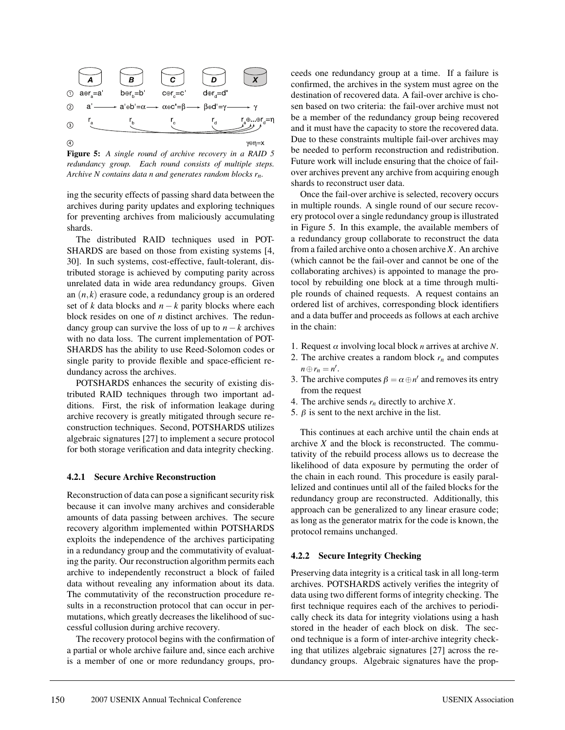

**Figure 5:** *A single round of archive recovery in a RAID 5 redundancy group. Each round consists of multiple steps. Archive N contains data n and generates random blocks rn.*

ing the security effects of passing shard data between the archives during parity updates and exploring techniques for preventing archives from maliciously accumulating shards.

The distributed RAID techniques used in POT-SHARDS are based on those from existing systems [4, 30]. In such systems, cost-effective, fault-tolerant, distributed storage is achieved by computing parity across unrelated data in wide area redundancy groups. Given an (*n*,*k*) erasure code, a redundancy group is an ordered set of *k* data blocks and  $n - k$  parity blocks where each block resides on one of *n* distinct archives. The redundancy group can survive the loss of up to  $n - k$  archives with no data loss. The current implementation of POT-SHARDS has the ability to use Reed-Solomon codes or single parity to provide flexible and space-efficient redundancy across the archives.

POTSHARDS enhances the security of existing distributed RAID techniques through two important additions. First, the risk of information leakage during archive recovery is greatly mitigated through secure reconstruction techniques. Second, POTSHARDS utilizes algebraic signatures [27] to implement a secure protocol for both storage verification and data integrity checking.

#### **4.2.1 Secure Archive Reconstruction**

Reconstruction of data can pose a significant security risk because it can involve many archives and considerable amounts of data passing between archives. The secure recovery algorithm implemented within POTSHARDS exploits the independence of the archives participating in a redundancy group and the commutativity of evaluating the parity. Our reconstruction algorithm permits each archive to independently reconstruct a block of failed data without revealing any information about its data. The commutativity of the reconstruction procedure results in a reconstruction protocol that can occur in permutations, which greatly decreases the likelihood of successful collusion during archive recovery.

The recovery protocol begins with the confirmation of a partial or whole archive failure and, since each archive is a member of one or more redundancy groups, proceeds one redundancy group at a time. If a failure is confirmed, the archives in the system must agree on the destination of recovered data. A fail-over archive is chosen based on two criteria: the fail-over archive must not be a member of the redundancy group being recovered and it must have the capacity to store the recovered data. Due to these constraints multiple fail-over archives may be needed to perform reconstruction and redistribution. Future work will include ensuring that the choice of failover archives prevent any archive from acquiring enough shards to reconstruct user data.

Once the fail-over archive is selected, recovery occurs in multiple rounds. A single round of our secure recovery protocol over a single redundancy group is illustrated in Figure 5. In this example, the available members of a redundancy group collaborate to reconstruct the data from a failed archive onto a chosen archive *X*. An archive (which cannot be the fail-over and cannot be one of the collaborating archives) is appointed to manage the protocol by rebuilding one block at a time through multiple rounds of chained requests. A request contains an ordered list of archives, corresponding block identifiers and a data buffer and proceeds as follows at each archive in the chain:

- 1. Request  $\alpha$  involving local block *n* arrives at archive *N*.
- 2. The archive creates a random block  $r_n$  and computes  $n \oplus r_n = n'.$
- 3. The archive computes  $\beta = \alpha \oplus n'$  and removes its entry from the request
- 4. The archive sends *rn* directly to archive *X*.
- 5.  $\beta$  is sent to the next archive in the list.

This continues at each archive until the chain ends at archive *X* and the block is reconstructed. The commutativity of the rebuild process allows us to decrease the likelihood of data exposure by permuting the order of the chain in each round. This procedure is easily parallelized and continues until all of the failed blocks for the redundancy group are reconstructed. Additionally, this approach can be generalized to any linear erasure code; as long as the generator matrix for the code is known, the protocol remains unchanged.

#### **4.2.2 Secure Integrity Checking**

Preserving data integrity is a critical task in all long-term archives. POTSHARDS actively verifies the integrity of data using two different forms of integrity checking. The first technique requires each of the archives to periodically check its data for integrity violations using a hash stored in the header of each block on disk. The second technique is a form of inter-archive integrity checking that utilizes algebraic signatures [27] across the redundancy groups. Algebraic signatures have the prop-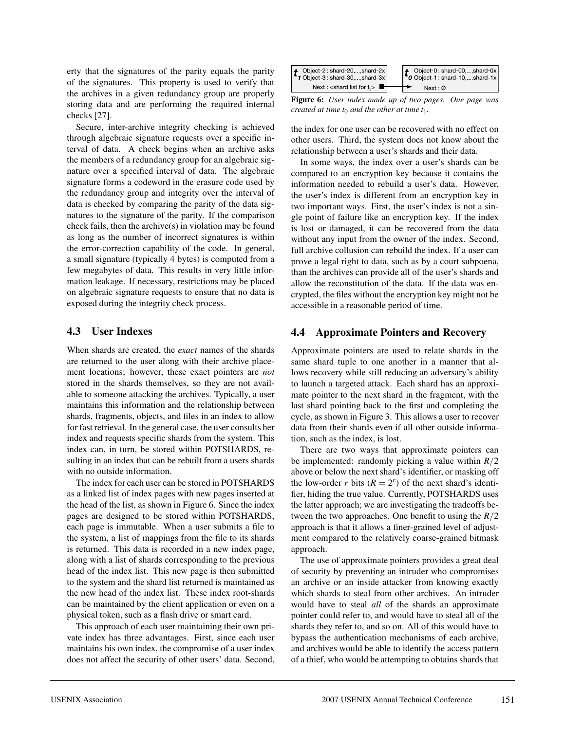erty that the signatures of the parity equals the parity of the signatures. This property is used to verify that the archives in a given redundancy group are properly storing data and are performing the required internal checks [27].

Secure, inter-archive integrity checking is achieved through algebraic signature requests over a specific interval of data. A check begins when an archive asks the members of a redundancy group for an algebraic signature over a specified interval of data. The algebraic signature forms a codeword in the erasure code used by the redundancy group and integrity over the interval of data is checked by comparing the parity of the data signatures to the signature of the parity. If the comparison check fails, then the archive(s) in violation may be found as long as the number of incorrect signatures is within the error-correction capability of the code. In general, a small signature (typically 4 bytes) is computed from a few megabytes of data. This results in very little information leakage. If necessary, restrictions may be placed on algebraic signature requests to ensure that no data is exposed during the integrity check process.

# **4.3 User Indexes**

When shards are created, the *exact* names of the shards are returned to the user along with their archive placement locations; however, these exact pointers are *not* stored in the shards themselves, so they are not available to someone attacking the archives. Typically, a user maintains this information and the relationship between shards, fragments, objects, and files in an index to allow for fast retrieval. In the general case, the user consults her index and requests specific shards from the system. This index can, in turn, be stored within POTSHARDS, resulting in an index that can be rebuilt from a users shards with no outside information.

The index for each user can be stored in POTSHARDS as a linked list of index pages with new pages inserted at the head of the list, as shown in Figure 6. Since the index pages are designed to be stored within POTSHARDS, each page is immutable. When a user submits a file to the system, a list of mappings from the file to its shards is returned. This data is recorded in a new index page, along with a list of shards corresponding to the previous head of the index list. This new page is then submitted to the system and the shard list returned is maintained as the new head of the index list. These index root-shards can be maintained by the client application or even on a physical token, such as a flash drive or smart card.

This approach of each user maintaining their own private index has three advantages. First, since each user maintains his own index, the compromise of a user index does not affect the security of other users' data. Second,



**Figure 6:** *User index made up of two pages. One page was created at time t<sub>0</sub> and the other at time t<sub>1</sub>.* 

the index for one user can be recovered with no effect on other users. Third, the system does not know about the relationship between a user's shards and their data.

In some ways, the index over a user's shards can be compared to an encryption key because it contains the information needed to rebuild a user's data. However, the user's index is different from an encryption key in two important ways. First, the user's index is not a single point of failure like an encryption key. If the index is lost or damaged, it can be recovered from the data without any input from the owner of the index. Second, full archive collusion can rebuild the index. If a user can prove a legal right to data, such as by a court subpoena, than the archives can provide all of the user's shards and allow the reconstitution of the data. If the data was encrypted, the files without the encryption key might not be accessible in a reasonable period of time.

# **4.4 Approximate Pointers and Recovery**

Approximate pointers are used to relate shards in the same shard tuple to one another in a manner that allows recovery while still reducing an adversary's ability to launch a targeted attack. Each shard has an approximate pointer to the next shard in the fragment, with the last shard pointing back to the first and completing the cycle, as shown in Figure 3. This allows a user to recover data from their shards even if all other outside information, such as the index, is lost.

There are two ways that approximate pointers can be implemented: randomly picking a value within *R*/2 above or below the next shard's identifier, or masking off the low-order *r* bits  $(R = 2<sup>r</sup>)$  of the next shard's identifier, hiding the true value. Currently, POTSHARDS uses the latter approach; we are investigating the tradeoffs between the two approaches. One benefit to using the *R*/2 approach is that it allows a finer-grained level of adjustment compared to the relatively coarse-grained bitmask approach.

The use of approximate pointers provides a great deal of security by preventing an intruder who compromises an archive or an inside attacker from knowing exactly which shards to steal from other archives. An intruder would have to steal *all* of the shards an approximate pointer could refer to, and would have to steal all of the shards they refer to, and so on. All of this would have to bypass the authentication mechanisms of each archive, and archives would be able to identify the access pattern of a thief, who would be attempting to obtains shards that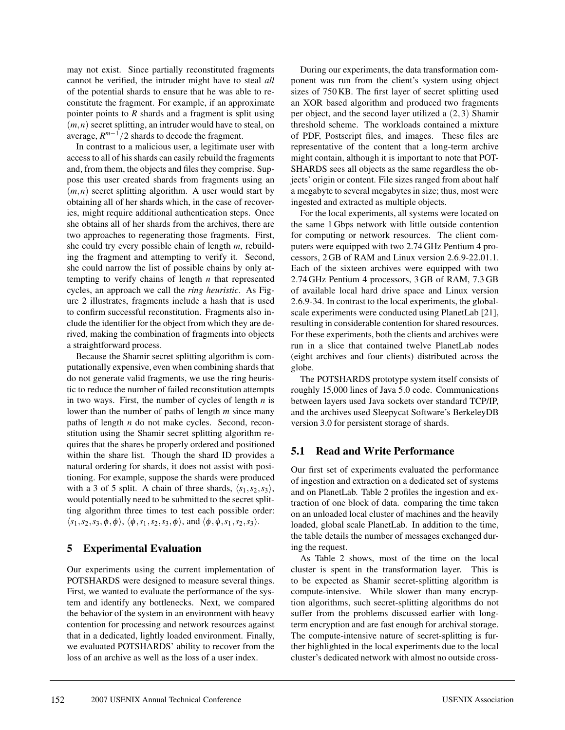may not exist. Since partially reconstituted fragments cannot be verified, the intruder might have to steal *all* of the potential shards to ensure that he was able to reconstitute the fragment. For example, if an approximate pointer points to *R* shards and a fragment is split using (*m*,*n*) secret splitting, an intruder would have to steal, on average, *Rm*−1/2 shards to decode the fragment.

In contrast to a malicious user, a legitimate user with access to all of his shards can easily rebuild the fragments and, from them, the objects and files they comprise. Suppose this user created shards from fragments using an  $(m, n)$  secret splitting algorithm. A user would start by obtaining all of her shards which, in the case of recoveries, might require additional authentication steps. Once she obtains all of her shards from the archives, there are two approaches to regenerating those fragments. First, she could try every possible chain of length *m*, rebuilding the fragment and attempting to verify it. Second, she could narrow the list of possible chains by only attempting to verify chains of length *n* that represented cycles, an approach we call the *ring heuristic*. As Figure 2 illustrates, fragments include a hash that is used to confirm successful reconstitution. Fragments also include the identifier for the object from which they are derived, making the combination of fragments into objects a straightforward process.

Because the Shamir secret splitting algorithm is computationally expensive, even when combining shards that do not generate valid fragments, we use the ring heuristic to reduce the number of failed reconstitution attempts in two ways. First, the number of cycles of length *n* is lower than the number of paths of length *m* since many paths of length *n* do not make cycles. Second, reconstitution using the Shamir secret splitting algorithm requires that the shares be properly ordered and positioned within the share list. Though the shard ID provides a natural ordering for shards, it does not assist with positioning. For example, suppose the shards were produced with a 3 of 5 split. A chain of three shards,  $\langle s_1, s_2, s_3 \rangle$ , would potentially need to be submitted to the secret splitting algorithm three times to test each possible order:  $\langle s_1, s_2, s_3, \phi, \phi \rangle$ ,  $\langle \phi, s_1, s_2, s_3, \phi \rangle$ , and  $\langle \phi, \phi, s_1, s_2, s_3 \rangle$ .

# **5 Experimental Evaluation**

Our experiments using the current implementation of POTSHARDS were designed to measure several things. First, we wanted to evaluate the performance of the system and identify any bottlenecks. Next, we compared the behavior of the system in an environment with heavy contention for processing and network resources against that in a dedicated, lightly loaded environment. Finally, we evaluated POTSHARDS' ability to recover from the loss of an archive as well as the loss of a user index.

During our experiments, the data transformation component was run from the client's system using object sizes of 750 KB. The first layer of secret splitting used an XOR based algorithm and produced two fragments per object, and the second layer utilized a (2,3) Shamir threshold scheme. The workloads contained a mixture of PDF, Postscript files, and images. These files are representative of the content that a long-term archive might contain, although it is important to note that POT-SHARDS sees all objects as the same regardless the objects' origin or content. File sizes ranged from about half a megabyte to several megabytes in size; thus, most were ingested and extracted as multiple objects.

For the local experiments, all systems were located on the same 1 Gbps network with little outside contention for computing or network resources. The client computers were equipped with two 2.74 GHz Pentium 4 processors, 2 GB of RAM and Linux version 2.6.9-22.01.1. Each of the sixteen archives were equipped with two 2.74 GHz Pentium 4 processors, 3 GB of RAM, 7.3 GB of available local hard drive space and Linux version 2.6.9-34. In contrast to the local experiments, the globalscale experiments were conducted using PlanetLab [21], resulting in considerable contention for shared resources. For these experiments, both the clients and archives were run in a slice that contained twelve PlanetLab nodes (eight archives and four clients) distributed across the globe.

The POTSHARDS prototype system itself consists of roughly 15,000 lines of Java 5.0 code. Communications between layers used Java sockets over standard TCP/IP, and the archives used Sleepycat Software's BerkeleyDB version 3.0 for persistent storage of shards.

# **5.1 Read and Write Performance**

Our first set of experiments evaluated the performance of ingestion and extraction on a dedicated set of systems and on PlanetLab. Table 2 profiles the ingestion and extraction of one block of data. comparing the time taken on an unloaded local cluster of machines and the heavily loaded, global scale PlanetLab. In addition to the time, the table details the number of messages exchanged during the request.

As Table 2 shows, most of the time on the local cluster is spent in the transformation layer. This is to be expected as Shamir secret-splitting algorithm is compute-intensive. While slower than many encryption algorithms, such secret-splitting algorithms do not suffer from the problems discussed earlier with longterm encryption and are fast enough for archival storage. The compute-intensive nature of secret-splitting is further highlighted in the local experiments due to the local cluster's dedicated network with almost no outside cross-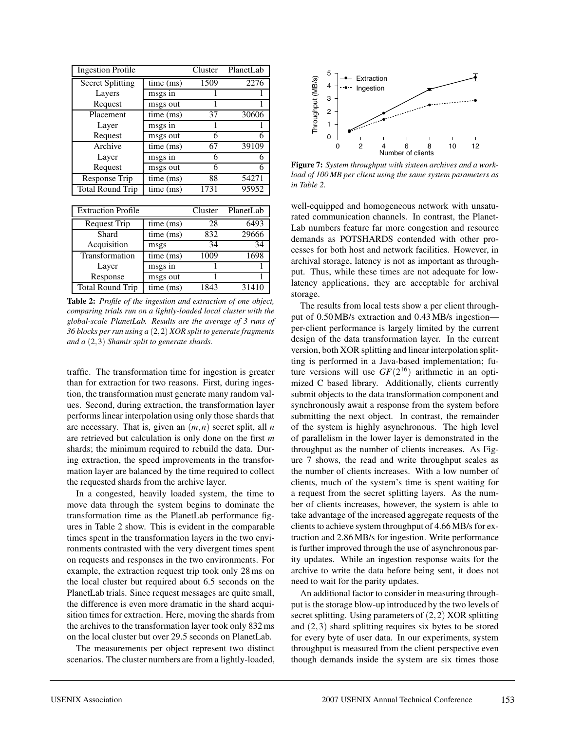| <b>Ingestion Profile</b>  | Cluster   | PlanetLab   |       |
|---------------------------|-----------|-------------|-------|
| <b>Secret Splitting</b>   | time (ms) | 1509        | 2276  |
| Layers                    | msgs in   | 1           |       |
| Request                   | msgs out  | 1           | 1     |
| Placement                 | time (ms) | 37          | 30606 |
| Layer                     | msgs in   |             |       |
| Request                   | msgs out  | 6           | 6     |
| Archive                   | time (ms) | 67          | 39109 |
| Layer                     | msgs in   | 6           | 6     |
| Request                   | msgs out  | 6           | 6     |
| Response Trip             | time (ms) | 88          | 54271 |
| <b>Total Round Trip</b>   | time (ms) | 1731        | 95952 |
|                           |           |             |       |
| <b>Extraction Profile</b> | Cluster   | PlanetLab   |       |
| <b>Request Trip</b>       | time (ms) | 28          | 6493  |
| Shard                     | time (ms) | 832         | 29666 |
| Acquisition               | msgs      | 34          | 34    |
| Transformation            | time (ms) | <b>1009</b> | 1698  |
| Layer                     | msgs in   |             |       |
| Response                  | msgs out  | 1           | 1     |
| <b>Total Round Trip</b>   | time (ms) | 1843        | 31410 |

**Table 2:** *Profile of the ingestion and extraction of one object, comparing trials run on a lightly-loaded local cluster with the global-scale PlanetLab. Results are the average of 3 runs of 36 blocks per run using a* (2,2) *XOR split to generate fragments and a* (2,3) *Shamir split to generate shards.*

traffic. The transformation time for ingestion is greater than for extraction for two reasons. First, during ingestion, the transformation must generate many random values. Second, during extraction, the transformation layer performs linear interpolation using only those shards that are necessary. That is, given an (*m*,*n*) secret split, all *n* are retrieved but calculation is only done on the first *m* shards; the minimum required to rebuild the data. During extraction, the speed improvements in the transformation layer are balanced by the time required to collect the requested shards from the archive layer.

In a congested, heavily loaded system, the time to move data through the system begins to dominate the transformation time as the PlanetLab performance figures in Table 2 show. This is evident in the comparable times spent in the transformation layers in the two environments contrasted with the very divergent times spent on requests and responses in the two environments. For example, the extraction request trip took only 28 ms on the local cluster but required about 6.5 seconds on the PlanetLab trials. Since request messages are quite small, the difference is even more dramatic in the shard acquisition times for extraction. Here, moving the shards from the archives to the transformation layer took only 832 ms on the local cluster but over 29.5 seconds on PlanetLab.

The measurements per object represent two distinct scenarios. The cluster numbers are from a lightly-loaded,



**Figure 7:** *System throughput with sixteen archives and a workload of 100 MB per client using the same system parameters as in Table 2.*

well-equipped and homogeneous network with unsaturated communication channels. In contrast, the Planet-Lab numbers feature far more congestion and resource demands as POTSHARDS contended with other processes for both host and network facilities. However, in archival storage, latency is not as important as throughput. Thus, while these times are not adequate for lowlatency applications, they are acceptable for archival storage.

The results from local tests show a per client throughput of 0.50 MB/s extraction and 0.43 MB/s ingestion per-client performance is largely limited by the current design of the data transformation layer. In the current version, both XOR splitting and linear interpolation splitting is performed in a Java-based implementation; future versions will use  $GF(2^{16})$  arithmetic in an optimized C based library. Additionally, clients currently submit objects to the data transformation component and synchronously await a response from the system before submitting the next object. In contrast, the remainder of the system is highly asynchronous. The high level of parallelism in the lower layer is demonstrated in the throughput as the number of clients increases. As Figure 7 shows, the read and write throughput scales as the number of clients increases. With a low number of clients, much of the system's time is spent waiting for a request from the secret splitting layers. As the number of clients increases, however, the system is able to take advantage of the increased aggregate requests of the clients to achieve system throughput of 4.66 MB/s for extraction and 2.86 MB/s for ingestion. Write performance is further improved through the use of asynchronous parity updates. While an ingestion response waits for the archive to write the data before being sent, it does not need to wait for the parity updates.

An additional factor to consider in measuring throughput is the storage blow-up introduced by the two levels of secret splitting. Using parameters of (2,2) XOR splitting and (2,3) shard splitting requires six bytes to be stored for every byte of user data. In our experiments, system throughput is measured from the client perspective even though demands inside the system are six times those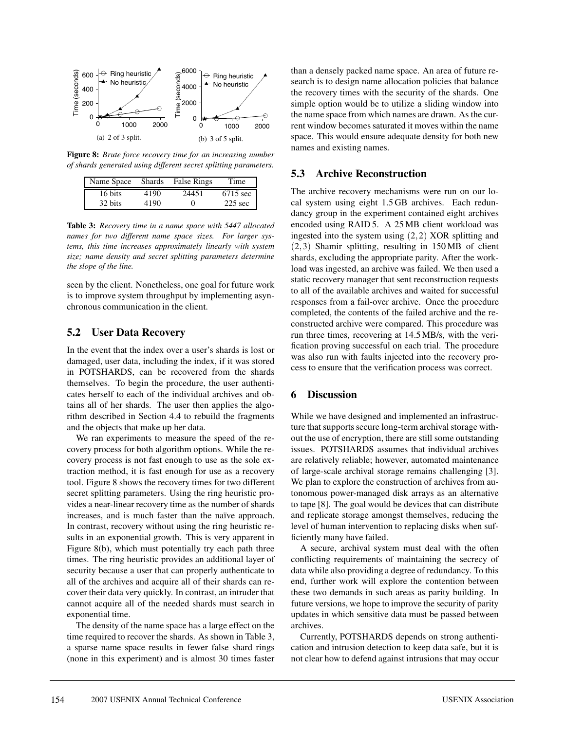

**Figure 8:** *Brute force recovery time for an increasing number of shards generated using different secret splitting parameters.*

| Name Space | Shards | <b>False Rings</b> | Time      |
|------------|--------|--------------------|-----------|
| 16 bits    | 4190   | 24451              | 6715 sec  |
| 32 bits    | 4190   |                    | $225$ sec |

**Table 3:** *Recovery time in a name space with 5447 allocated names for two different name space sizes. For larger systems, this time increases approximately linearly with system size; name density and secret splitting parameters determine the slope of the line.*

seen by the client. Nonetheless, one goal for future work is to improve system throughput by implementing asynchronous communication in the client.

## **5.2 User Data Recovery**

In the event that the index over a user's shards is lost or damaged, user data, including the index, if it was stored in POTSHARDS, can be recovered from the shards themselves. To begin the procedure, the user authenticates herself to each of the individual archives and obtains all of her shards. The user then applies the algorithm described in Section 4.4 to rebuild the fragments and the objects that make up her data.

We ran experiments to measure the speed of the recovery process for both algorithm options. While the recovery process is not fast enough to use as the sole extraction method, it is fast enough for use as a recovery tool. Figure 8 shows the recovery times for two different secret splitting parameters. Using the ring heuristic provides a near-linear recovery time as the number of shards increases, and is much faster than the naïve approach. In contrast, recovery without using the ring heuristic results in an exponential growth. This is very apparent in Figure 8(b), which must potentially try each path three times. The ring heuristic provides an additional layer of security because a user that can properly authenticate to all of the archives and acquire all of their shards can recover their data very quickly. In contrast, an intruder that cannot acquire all of the needed shards must search in exponential time.

The density of the name space has a large effect on the time required to recover the shards. As shown in Table 3, a sparse name space results in fewer false shard rings (none in this experiment) and is almost 30 times faster than a densely packed name space. An area of future research is to design name allocation policies that balance the recovery times with the security of the shards. One simple option would be to utilize a sliding window into the name space from which names are drawn. As the current window becomes saturated it moves within the name space. This would ensure adequate density for both new names and existing names.

## **5.3 Archive Reconstruction**

The archive recovery mechanisms were run on our local system using eight 1.5 GB archives. Each redundancy group in the experiment contained eight archives encoded using RAID 5. A 25 MB client workload was ingested into the system using (2,2) XOR splitting and (2,3) Shamir splitting, resulting in 150 MB of client shards, excluding the appropriate parity. After the workload was ingested, an archive was failed. We then used a static recovery manager that sent reconstruction requests to all of the available archives and waited for successful responses from a fail-over archive. Once the procedure completed, the contents of the failed archive and the reconstructed archive were compared. This procedure was run three times, recovering at 14.5 MB/s, with the verification proving successful on each trial. The procedure was also run with faults injected into the recovery process to ensure that the verification process was correct.

# **6 Discussion**

While we have designed and implemented an infrastructure that supports secure long-term archival storage without the use of encryption, there are still some outstanding issues. POTSHARDS assumes that individual archives are relatively reliable; however, automated maintenance of large-scale archival storage remains challenging [3]. We plan to explore the construction of archives from autonomous power-managed disk arrays as an alternative to tape [8]. The goal would be devices that can distribute and replicate storage amongst themselves, reducing the level of human intervention to replacing disks when sufficiently many have failed.

A secure, archival system must deal with the often conflicting requirements of maintaining the secrecy of data while also providing a degree of redundancy. To this end, further work will explore the contention between these two demands in such areas as parity building. In future versions, we hope to improve the security of parity updates in which sensitive data must be passed between archives.

Currently, POTSHARDS depends on strong authentication and intrusion detection to keep data safe, but it is not clear how to defend against intrusions that may occur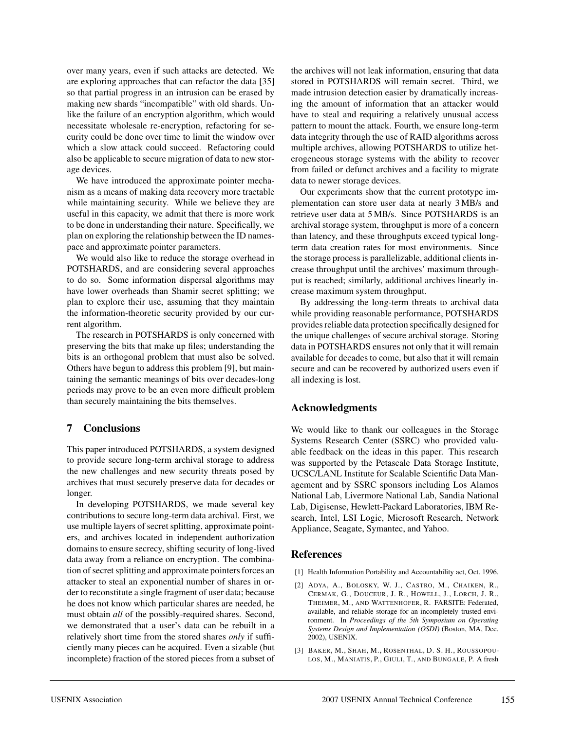over many years, even if such attacks are detected. We are exploring approaches that can refactor the data [35] so that partial progress in an intrusion can be erased by making new shards "incompatible" with old shards. Unlike the failure of an encryption algorithm, which would necessitate wholesale re-encryption, refactoring for security could be done over time to limit the window over which a slow attack could succeed. Refactoring could also be applicable to secure migration of data to new storage devices.

We have introduced the approximate pointer mechanism as a means of making data recovery more tractable while maintaining security. While we believe they are useful in this capacity, we admit that there is more work to be done in understanding their nature. Specifically, we plan on exploring the relationship between the ID namespace and approximate pointer parameters.

We would also like to reduce the storage overhead in POTSHARDS, and are considering several approaches to do so. Some information dispersal algorithms may have lower overheads than Shamir secret splitting; we plan to explore their use, assuming that they maintain the information-theoretic security provided by our current algorithm.

The research in POTSHARDS is only concerned with preserving the bits that make up files; understanding the bits is an orthogonal problem that must also be solved. Others have begun to address this problem [9], but maintaining the semantic meanings of bits over decades-long periods may prove to be an even more difficult problem than securely maintaining the bits themselves.

# **7 Conclusions**

This paper introduced POTSHARDS, a system designed to provide secure long-term archival storage to address the new challenges and new security threats posed by archives that must securely preserve data for decades or longer.

In developing POTSHARDS, we made several key contributions to secure long-term data archival. First, we use multiple layers of secret splitting, approximate pointers, and archives located in independent authorization domains to ensure secrecy, shifting security of long-lived data away from a reliance on encryption. The combination of secret splitting and approximate pointers forces an attacker to steal an exponential number of shares in order to reconstitute a single fragment of user data; because he does not know which particular shares are needed, he must obtain *all* of the possibly-required shares. Second, we demonstrated that a user's data can be rebuilt in a relatively short time from the stored shares *only* if sufficiently many pieces can be acquired. Even a sizable (but incomplete) fraction of the stored pieces from a subset of the archives will not leak information, ensuring that data stored in POTSHARDS will remain secret. Third, we made intrusion detection easier by dramatically increasing the amount of information that an attacker would have to steal and requiring a relatively unusual access pattern to mount the attack. Fourth, we ensure long-term data integrity through the use of RAID algorithms across multiple archives, allowing POTSHARDS to utilize heterogeneous storage systems with the ability to recover from failed or defunct archives and a facility to migrate data to newer storage devices.

Our experiments show that the current prototype implementation can store user data at nearly 3 MB/s and retrieve user data at 5 MB/s. Since POTSHARDS is an archival storage system, throughput is more of a concern than latency, and these throughputs exceed typical longterm data creation rates for most environments. Since the storage process is parallelizable, additional clients increase throughput until the archives' maximum throughput is reached; similarly, additional archives linearly increase maximum system throughput.

By addressing the long-term threats to archival data while providing reasonable performance, POTSHARDS provides reliable data protection specifically designed for the unique challenges of secure archival storage. Storing data in POTSHARDS ensures not only that it will remain available for decades to come, but also that it will remain secure and can be recovered by authorized users even if all indexing is lost.

# **Acknowledgments**

We would like to thank our colleagues in the Storage Systems Research Center (SSRC) who provided valuable feedback on the ideas in this paper. This research was supported by the Petascale Data Storage Institute, UCSC/LANL Institute for Scalable Scientific Data Management and by SSRC sponsors including Los Alamos National Lab, Livermore National Lab, Sandia National Lab, Digisense, Hewlett-Packard Laboratories, IBM Research, Intel, LSI Logic, Microsoft Research, Network Appliance, Seagate, Symantec, and Yahoo.

# **References**

- [1] Health Information Portability and Accountability act, Oct. 1996.
- [2] ADYA, A., BOLOSKY, W. J., CASTRO, M., CHAIKEN, R., CERMAK, G., DOUCEUR, J. R., HOWELL, J., LORCH, J. R., THEIMER, M., AND WATTENHOFER, R. FARSITE: Federated, available, and reliable storage for an incompletely trusted environment. In *Proceedings of the 5th Symposium on Operating Systems Design and Implementation (OSDI)* (Boston, MA, Dec. 2002), USENIX.
- [3] BAKER, M., SHAH, M., ROSENTHAL, D. S. H., ROUSSOPOU-LOS, M., MANIATIS, P., GIULI, T., AND BUNGALE, P. A fresh